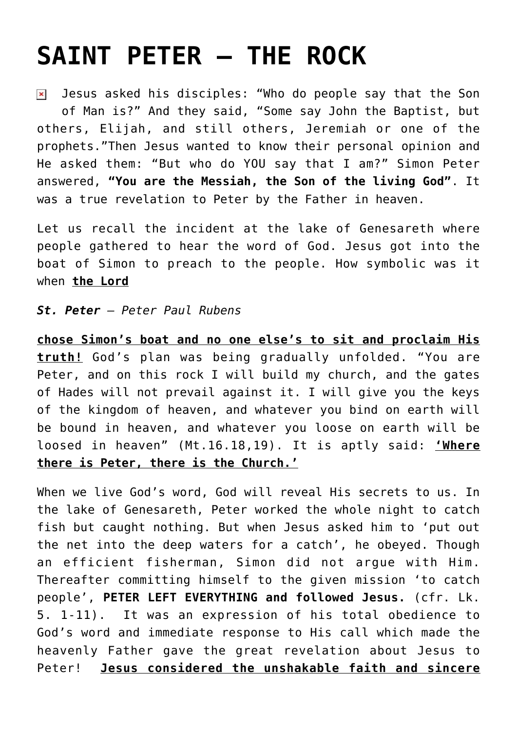## **[SAINT PETER – THE ROCK](https://www.mariakumar.org/2012/07/07/saint-peter-the-rock/)**

Jesus asked his disciples: "Who do people say that the Son  $\pmb{\times}$ of Man is?" And they said, "Some say John the Baptist, but others, Elijah, and still others, Jeremiah or one of the prophets."Then Jesus wanted to know their personal opinion and He asked them: "But who do YOU say that I am?" Simon Peter answered, **"You are the Messiah, the Son of the living God"**. It was a true revelation to Peter by the Father in heaven.

Let us recall the incident at the lake of Genesareth where people gathered to hear the word of God. Jesus got into the boat of Simon to preach to the people. How symbolic was it when **the Lord**

## *St. Peter – Peter Paul Rubens*

**chose Simon's boat and no one else's to sit and proclaim His truth!** God's plan was being gradually unfolded. "You are Peter, and on this rock I will build my church, and the gates of Hades will not prevail against it. I will give you the keys of the kingdom of heaven, and whatever you bind on earth will be bound in heaven, and whatever you loose on earth will be loosed in heaven" (Mt.16.18,19). It is aptly said: **'Where there is Peter, there is the Church.'**

When we live God's word, God will reveal His secrets to us. In the lake of Genesareth, Peter worked the whole night to catch fish but caught nothing. But when Jesus asked him to 'put out the net into the deep waters for a catch', he obeyed. Though an efficient fisherman, Simon did not argue with Him. Thereafter committing himself to the given mission 'to catch people', **PETER LEFT EVERYTHING and followed Jesus.** (cfr. Lk. 5. 1-11). It was an expression of his total obedience to God's word and immediate response to His call which made the heavenly Father gave the great revelation about Jesus to Peter! **Jesus considered the unshakable faith and sincere**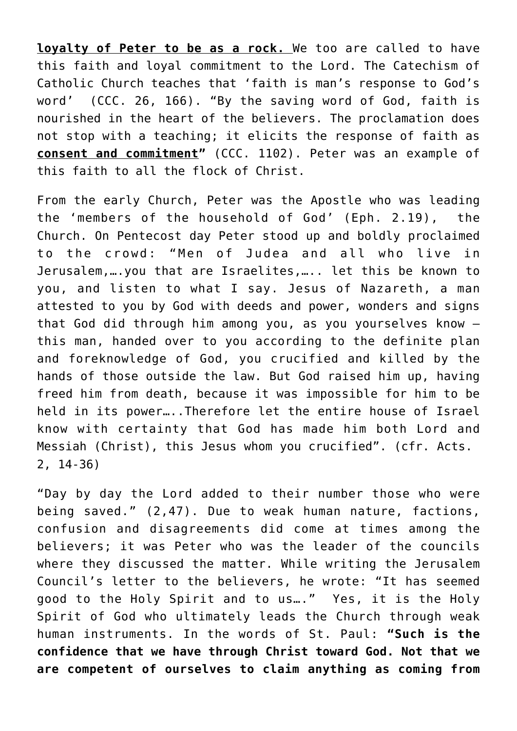**loyalty of Peter to be as a rock.** We too are called to have this faith and loyal commitment to the Lord. The Catechism of Catholic Church teaches that 'faith is man's response to God's word' (CCC. 26, 166). "By the saving word of God, faith is nourished in the heart of the believers. The proclamation does not stop with a teaching; it elicits the response of faith as **consent and commitment"** (CCC. 1102). Peter was an example of this faith to all the flock of Christ.

From the early Church, Peter was the Apostle who was leading the 'members of the household of God' (Eph. 2.19), the Church. On Pentecost day Peter stood up and boldly proclaimed to the crowd: "Men of Judea and all who live in Jerusalem,….you that are Israelites,….. let this be known to you, and listen to what I say. Jesus of Nazareth, a man attested to you by God with deeds and power, wonders and signs that God did through him among you, as you yourselves know – this man, handed over to you according to the definite plan and foreknowledge of God, you crucified and killed by the hands of those outside the law. But God raised him up, having freed him from death, because it was impossible for him to be held in its power…..Therefore let the entire house of Israel know with certainty that God has made him both Lord and Messiah (Christ), this Jesus whom you crucified". (cfr. Acts. 2, 14-36)

"Day by day the Lord added to their number those who were being saved." (2,47). Due to weak human nature, factions, confusion and disagreements did come at times among the believers; it was Peter who was the leader of the councils where they discussed the matter. While writing the Jerusalem Council's letter to the believers, he wrote: "It has seemed good to the Holy Spirit and to us…." Yes, it is the Holy Spirit of God who ultimately leads the Church through weak human instruments. In the words of St. Paul: **"Such is the confidence that we have through Christ toward God. Not that we are competent of ourselves to claim anything as coming from**